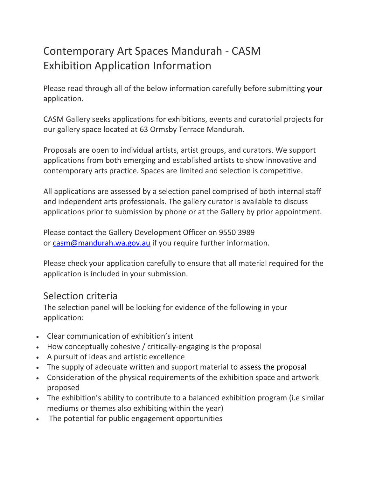# Contemporary Art Spaces Mandurah - CASM Exhibition Application Information

Please read through all of the below information carefully before submitting your application.

CASM Gallery seeks applications for exhibitions, events and curatorial projects for our gallery space located at 63 Ormsby Terrace Mandurah.

Proposals are open to individual artists, artist groups, and curators. We support applications from both emerging and established artists to show innovative and contemporary arts practice. Spaces are limited and selection is competitive.

All applications are assessed by a selection panel comprised of both internal staff and independent arts professionals. The gallery curator is available to discuss applications prior to submission by phone or at the Gallery by prior appointment.

Please contact the Gallery Development Officer on 9550 3989 or [casm@mandurah.wa.gov.au](mailto:casm@mandurah.wa.gov.au) if you require further information.

Please check your application carefully to ensure that all material required for the application is included in your submission.

#### Selection criteria

The selection panel will be looking for evidence of the following in your application:

- Clear communication of exhibition's intent
- How conceptually cohesive / critically-engaging is the proposal
- A pursuit of ideas and artistic excellence
- The supply of adequate written and support material to assess the proposal
- Consideration of the physical requirements of the exhibition space and artwork proposed
- The exhibition's ability to contribute to a balanced exhibition program (i.e similar mediums or themes also exhibiting within the year)
- The potential for public engagement opportunities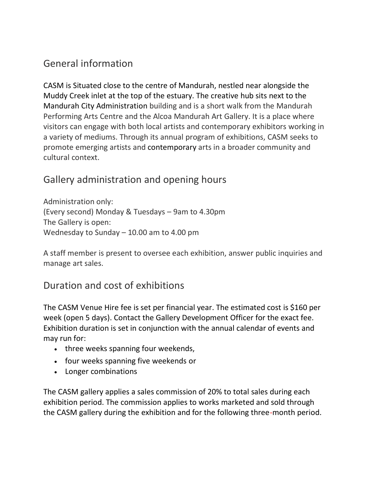# General information

CASM is Situated close to the centre of Mandurah, nestled near alongside the Muddy Creek inlet at the top of the estuary. The creative hub sits next to the Mandurah City Administration building and is a short walk from the Mandurah Performing Arts Centre and the Alcoa Mandurah Art Gallery. It is a place where visitors can engage with both local artists and contemporary exhibitors working in a variety of mediums. Through its annual program of exhibitions, CASM seeks to promote emerging artists and contemporary arts in a broader community and cultural context.

# Gallery administration and opening hours

Administration only: (Every second) Monday & Tuesdays – 9am to 4.30pm The Gallery is open: Wednesday to Sunday – 10.00 am to 4.00 pm

A staff member is present to oversee each exhibition, answer public inquiries and manage art sales.

# Duration and cost of exhibitions

The CASM Venue Hire fee is set per financial year. The estimated cost is \$160 per week (open 5 days). Contact the Gallery Development Officer for the exact fee. Exhibition duration is set in conjunction with the annual calendar of events and may run for:

- three weeks spanning four weekends,
- four weeks spanning five weekends or
- Longer combinations

The CASM gallery applies a sales commission of 20% to total sales during each exhibition period. The commission applies to works marketed and sold through the CASM gallery during the exhibition and for the following three-month period.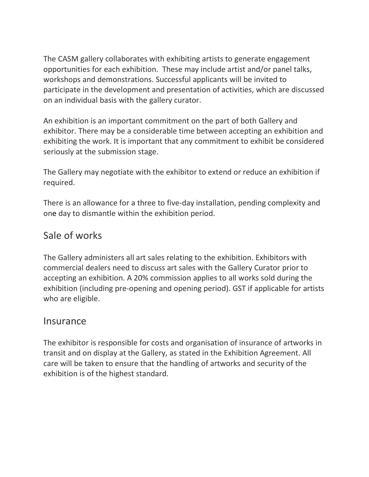The CASM gallery collaborates with exhibiting artists to generate engagement opportunities for each exhibition. These may include artist and/or panel talks, workshops and demonstrations. Successful applicants will be invited to participate in the development and presentation of activities, which are discussed on an individual basis with the gallery curator.

An exhibition is an important commitment on the part of both Gallery and exhibitor. There may be a considerable time between accepting an exhibition and exhibiting the work. It is important that any commitment to exhibit be considered seriously at the submission stage.

The Gallery may negotiate with the exhibitor to extend or reduce an exhibition if required.

There is an allowance for a three to five-day installation, pending complexity and one day to dismantle within the exhibition period.

### Sale of works

The Gallery administers all art sales relating to the exhibition. Exhibitors with commercial dealers need to discuss art sales with the Gallery Curator prior to accepting an exhibition. A 20% commission applies to all works sold during the exhibition (including pre-opening and opening period). GST if applicable for artists who are eligible.

#### Insurance

The exhibitor is responsible for costs and organisation of insurance of artworks in transit and on display at the Gallery, as stated in the Exhibition Agreement. All care will be taken to ensure that the handling of artworks and security of the exhibition is of the highest standard.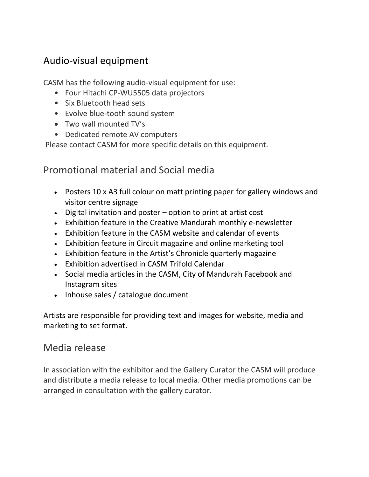### Audio-visual equipment

CASM has the following audio-visual equipment for use:

- Four Hitachi CP-WU5505 data projectors
- Six Bluetooth head sets
- Evolve blue-tooth sound system
- Two wall mounted TV's
- Dedicated remote AV computers

Please contact CASM for more specific details on this equipment.

### Promotional material and Social media

- Posters 10 x A3 full colour on matt printing paper for gallery windows and visitor centre signage
- Digital invitation and poster option to print at artist cost
- Exhibition feature in the Creative Mandurah monthly e-newsletter
- Exhibition feature in the CASM website and calendar of events
- Exhibition feature in Circuit magazine and online marketing tool
- Exhibition feature in the Artist's Chronicle quarterly magazine
- Exhibition advertised in CASM Trifold Calendar
- Social media articles in the CASM, City of Mandurah Facebook and Instagram sites
- Inhouse sales / catalogue document

Artists are responsible for providing text and images for website, media and marketing to set format.

#### Media release

In association with the exhibitor and the Gallery Curator the CASM will produce and distribute a media release to local media. Other media promotions can be arranged in consultation with the gallery curator.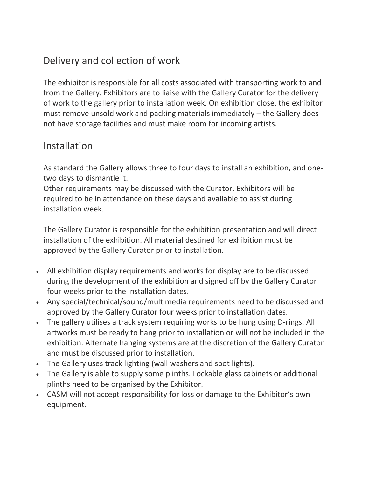# Delivery and collection of work

The exhibitor is responsible for all costs associated with transporting work to and from the Gallery. Exhibitors are to liaise with the Gallery Curator for the delivery of work to the gallery prior to installation week. On exhibition close, the exhibitor must remove unsold work and packing materials immediately – the Gallery does not have storage facilities and must make room for incoming artists.

### **Installation**

As standard the Gallery allows three to four days to install an exhibition, and onetwo days to dismantle it.

Other requirements may be discussed with the Curator. Exhibitors will be required to be in attendance on these days and available to assist during installation week.

The Gallery Curator is responsible for the exhibition presentation and will direct installation of the exhibition. All material destined for exhibition must be approved by the Gallery Curator prior to installation.

- All exhibition display requirements and works for display are to be discussed during the development of the exhibition and signed off by the Gallery Curator four weeks prior to the installation dates.
- Any special/technical/sound/multimedia requirements need to be discussed and approved by the Gallery Curator four weeks prior to installation dates.
- The gallery utilises a track system requiring works to be hung using D-rings. All artworks must be ready to hang prior to installation or will not be included in the exhibition. Alternate hanging systems are at the discretion of the Gallery Curator and must be discussed prior to installation.
- The Gallery uses track lighting (wall washers and spot lights).
- The Gallery is able to supply some plinths. Lockable glass cabinets or additional plinths need to be organised by the Exhibitor.
- CASM will not accept responsibility for loss or damage to the Exhibitor's own equipment.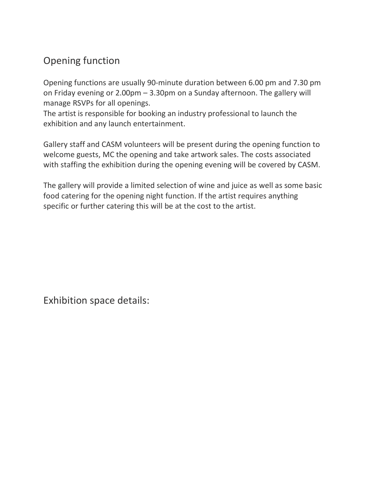# Opening function

Opening functions are usually 90-minute duration between 6.00 pm and 7.30 pm on Friday evening or 2.00pm – 3.30pm on a Sunday afternoon. The gallery will manage RSVPs for all openings.

The artist is responsible for booking an industry professional to launch the exhibition and any launch entertainment.

Gallery staff and CASM volunteers will be present during the opening function to welcome guests, MC the opening and take artwork sales. The costs associated with staffing the exhibition during the opening evening will be covered by CASM.

The gallery will provide a limited selection of wine and juice as well as some basic food catering for the opening night function. If the artist requires anything specific or further catering this will be at the cost to the artist.

Exhibition space details: